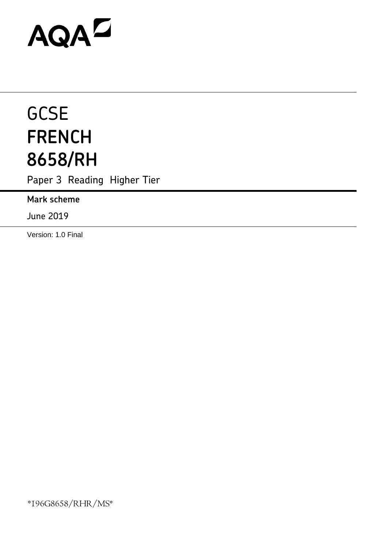# AQAD

## **GCSE FRENCH 8658/RH**

Paper 3 Reading Higher Tier

**Mark scheme**

June 2019

Version: 1.0 Final

\*196G8658/RHR/MS\*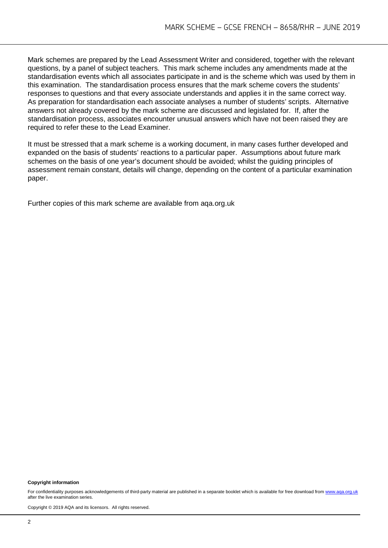Mark schemes are prepared by the Lead Assessment Writer and considered, together with the relevant questions, by a panel of subject teachers. This mark scheme includes any amendments made at the standardisation events which all associates participate in and is the scheme which was used by them in this examination. The standardisation process ensures that the mark scheme covers the students' responses to questions and that every associate understands and applies it in the same correct way. As preparation for standardisation each associate analyses a number of students' scripts. Alternative answers not already covered by the mark scheme are discussed and legislated for. If, after the standardisation process, associates encounter unusual answers which have not been raised they are required to refer these to the Lead Examiner.

It must be stressed that a mark scheme is a working document, in many cases further developed and expanded on the basis of students' reactions to a particular paper. Assumptions about future mark schemes on the basis of one year's document should be avoided; whilst the guiding principles of assessment remain constant, details will change, depending on the content of a particular examination paper.

Further copies of this mark scheme are available from aqa.org.uk

#### **Copyright information**

For confidentiality purposes acknowledgements of third-party material are published in a separate booklet which is available for free download from www.aga.org.uk after the live examination series.

Copyright © 2019 AQA and its licensors. All rights reserved.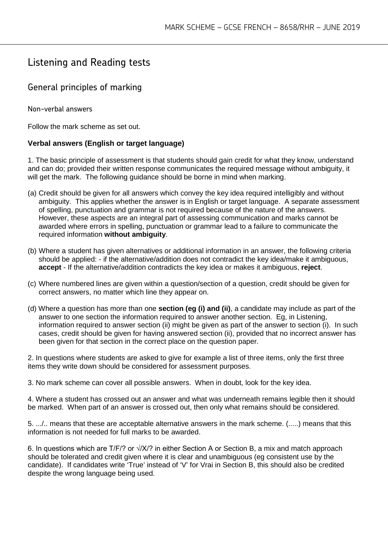### Listening and Reading tests

#### General principles of marking

Non-verbal answers

Follow the mark scheme as set out.

#### **Verbal answers (English or target language)**

1. The basic principle of assessment is that students should gain credit for what they know, understand and can do; provided their written response communicates the required message without ambiguity, it will get the mark. The following guidance should be borne in mind when marking.

- (a) Credit should be given for all answers which convey the key idea required intelligibly and without ambiguity. This applies whether the answer is in English or target language. A separate assessment of spelling, punctuation and grammar is not required because of the nature of the answers. However, these aspects are an integral part of assessing communication and marks cannot be awarded where errors in spelling, punctuation or grammar lead to a failure to communicate the required information **without ambiguity**.
- (b) Where a student has given alternatives or additional information in an answer, the following criteria should be applied: - if the alternative/addition does not contradict the key idea/make it ambiguous, **accept** - If the alternative/addition contradicts the key idea or makes it ambiguous, **reject**.
- (c) Where numbered lines are given within a question/section of a question, credit should be given for correct answers, no matter which line they appear on.
- (d) Where a question has more than one **section (eg (i) and (ii)**, a candidate may include as part of the answer to one section the information required to answer another section. Eg, in Listening, information required to answer section (ii) might be given as part of the answer to section (i). In such cases, credit should be given for having answered section (ii), provided that no incorrect answer has been given for that section in the correct place on the question paper.

2. In questions where students are asked to give for example a list of three items, only the first three items they write down should be considered for assessment purposes.

3. No mark scheme can cover all possible answers. When in doubt, look for the key idea.

4. Where a student has crossed out an answer and what was underneath remains legible then it should be marked. When part of an answer is crossed out, then only what remains should be considered.

5. .../.. means that these are acceptable alternative answers in the mark scheme. (.....) means that this information is not needed for full marks to be awarded.

6. In questions which are T/F/? or √/X/? in either Section A or Section B, a mix and match approach should be tolerated and credit given where it is clear and unambiguous (eg consistent use by the candidate). If candidates write 'True' instead of 'V' for Vrai in Section B, this should also be credited despite the wrong language being used.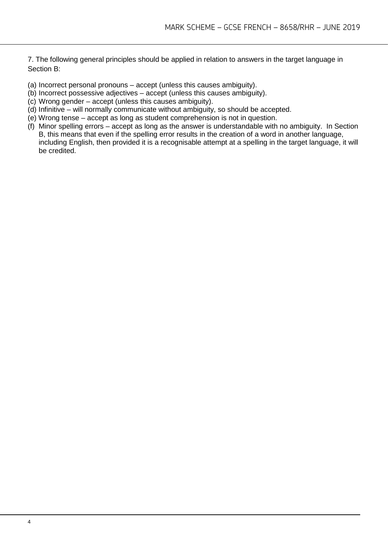7. The following general principles should be applied in relation to answers in the target language in Section B:

- (a) Incorrect personal pronouns accept (unless this causes ambiguity).
- (b) Incorrect possessive adjectives accept (unless this causes ambiguity).
- (c) Wrong gender accept (unless this causes ambiguity).
- (d) Infinitive will normally communicate without ambiguity, so should be accepted.
- (e) Wrong tense accept as long as student comprehension is not in question.
- (f) Minor spelling errors accept as long as the answer is understandable with no ambiguity. In Section B, this means that even if the spelling error results in the creation of a word in another language, including English, then provided it is a recognisable attempt at a spelling in the target language, it will be credited.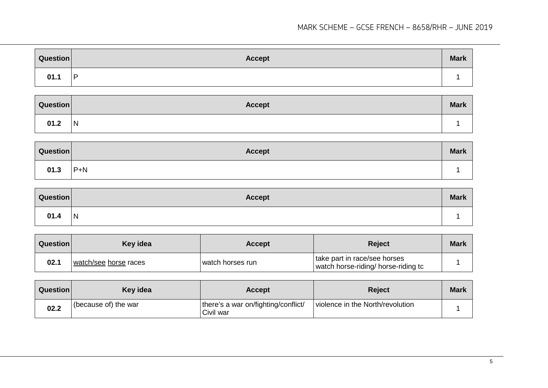| Question | <b>Accept</b> | <b>Mark</b> |
|----------|---------------|-------------|
| 01.1     | l D           |             |

| Question | Accept | <b>Mark</b> |
|----------|--------|-------------|
| 01.2     | N      |             |

| Question | <b>Accept</b> | <b>Mark</b> |
|----------|---------------|-------------|
| 01.3     | $P+N$         |             |

| Question | Accept   | <b>Mark</b> |
|----------|----------|-------------|
| 01.4     | <b>N</b> |             |

| Question | Key idea              | <b>Accept</b>    | <b>Reject</b>                                                       | <b>Mark</b> |
|----------|-----------------------|------------------|---------------------------------------------------------------------|-------------|
| 02.1     | watch/see horse races | watch horses run | take part in race/see horses<br>watch horse-riding/ horse-riding to |             |

| Question | Key idea             | <b>Accept</b>                                    | <b>Reject</b>                      | <b>Mark</b> |
|----------|----------------------|--------------------------------------------------|------------------------------------|-------------|
| 02.2     | (because of) the war | there's a war on/fighting/conflict/<br>Civil war | I violence in the North/revolution |             |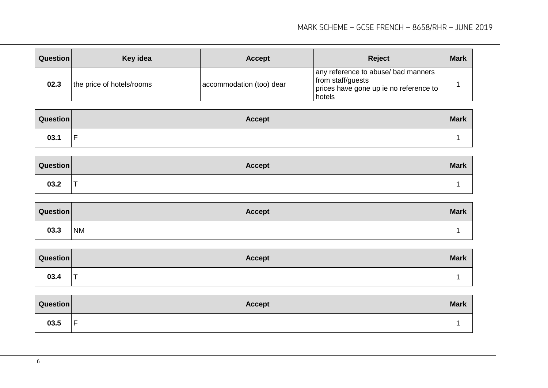| Question | Key idea                  | <b>Accept</b>            | <b>Reject</b>                                                                                                | <b>Mark</b> |
|----------|---------------------------|--------------------------|--------------------------------------------------------------------------------------------------------------|-------------|
| 02.3     | the price of hotels/rooms | accommodation (too) dear | any reference to abuse/ bad manners<br>from staff/guests<br>prices have gone up ie no reference to<br>hotels |             |

| Question | <b>Accept</b>                 | <b>Mark</b> |
|----------|-------------------------------|-------------|
| 03.1     | $\overline{\phantom{0}}$<br>- |             |

| <b>Question</b> | <b>Accept</b> | <b>Mark</b> |
|-----------------|---------------|-------------|
| 03.2            | $\mathsf{I}$  |             |

| Question | <b>Accept</b> | <b>Mark</b> |
|----------|---------------|-------------|
| 03.3     | <b>NM</b>     |             |

| Question | Accept | <b>Mark</b> |
|----------|--------|-------------|
| 03.4     | --     |             |

| Question | Accept | <b>Mark</b> |
|----------|--------|-------------|
| 03.5     | -      |             |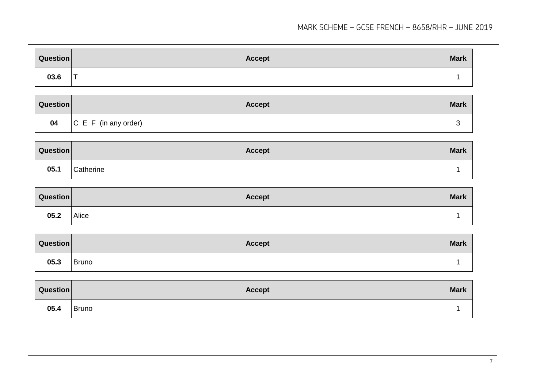| <b>Question</b> | <b>Accept</b>            | <b>Mark</b> |
|-----------------|--------------------------|-------------|
| 03.6            | $\overline{\phantom{a}}$ |             |

| Question | Accept                    | <b>Mark</b> |
|----------|---------------------------|-------------|
| 04       | $ C \tE F$ (in any order) | ◡           |

| Question | <b>Accept</b> | <b>Mark</b> |
|----------|---------------|-------------|
| 05.1     | Catherine     |             |

| Question | <b>Accept</b> | <b>Mark</b> |
|----------|---------------|-------------|
| 05.2     | Alice         |             |

| Question | <b>Accept</b> | <b>Mark</b> |
|----------|---------------|-------------|
| 05.3     | Bruno         |             |

| Question | <b>Accept</b> | <b>Mark</b> |
|----------|---------------|-------------|
| 05.4     | <b>Bruno</b>  |             |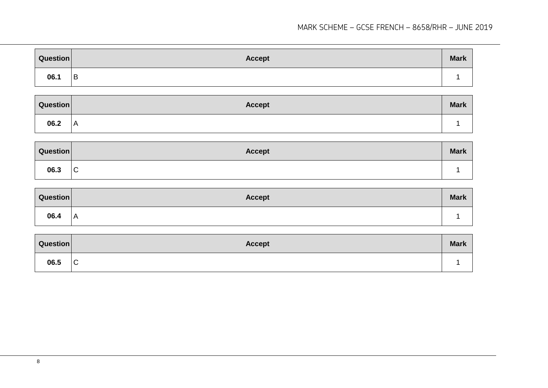| Question | <b>Accept</b> | <b>Mark</b> |
|----------|---------------|-------------|
| 06.1     | B             |             |

| Question | <b>Accept</b> | <b>Mark</b> |
|----------|---------------|-------------|
| 06.2     | A             |             |

| Question | Accept       | <b>Mark</b> |
|----------|--------------|-------------|
| 06.3     | $\sim$<br>טו |             |

| Question | Accept | <b>Mark</b> |
|----------|--------|-------------|
| 06.4     | ۱A     |             |

| Question | <b>Accept</b>   | <b>Mark</b> |
|----------|-----------------|-------------|
| 06.5     | $\sqrt{2}$<br>◡ |             |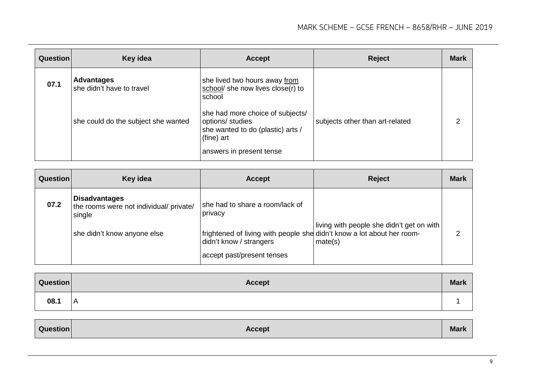| Question | Key idea                                       | <b>Accept</b>                                                                                           | <b>Reject</b>                   | <b>Mark</b> |
|----------|------------------------------------------------|---------------------------------------------------------------------------------------------------------|---------------------------------|-------------|
| 07.1     | <b>Advantages</b><br>she didn't have to travel | she lived two hours away from<br>school/ she now lives close(r) to<br>school                            |                                 |             |
|          | she could do the subject she wanted            | she had more choice of subjects/<br>options/ studies<br>she wanted to do (plastic) arts /<br>(fine) art | subjects other than art-related | 2           |
|          |                                                | answers in present tense                                                                                |                                 |             |

| <b>Question</b> | Key idea                                                                                                 | <b>Accept</b>                                                                                                                                                                 | <b>Reject</b>                                        | <b>Mark</b> |
|-----------------|----------------------------------------------------------------------------------------------------------|-------------------------------------------------------------------------------------------------------------------------------------------------------------------------------|------------------------------------------------------|-------------|
| 07.2            | <b>Disadvantages</b><br>the rooms were not individual/ private/<br>single<br>she didn't know anyone else | she had to share a room/lack of<br>privacy<br>frightened of living with people she didn't know a lot about her room-<br>didn't know / strangers<br>accept past/present tenses | living with people she didn't get on with<br>mate(s) |             |

| Question | <b>Accept</b>  | <b>Mark</b> |
|----------|----------------|-------------|
| 08.1     | $\overline{A}$ |             |

| Question | <b>Accept</b> | <b>Mark</b> |
|----------|---------------|-------------|
|----------|---------------|-------------|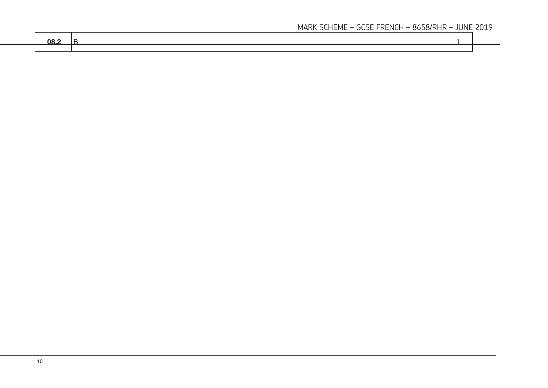| 08 |  |  |
|----|--|--|
|    |  |  |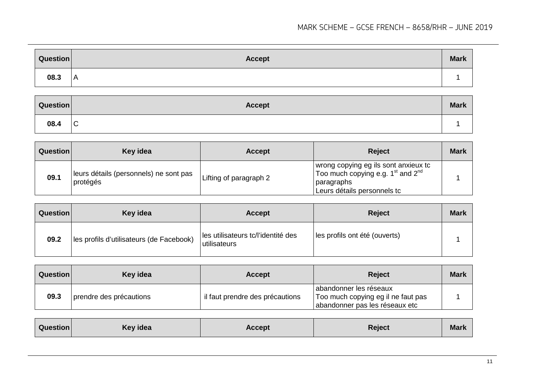| Question | <b>Accept</b> | <b>Mark</b> |
|----------|---------------|-------------|
| 08.3     | A             |             |

| Question | <b>Accept</b> | <b>Mark</b> |
|----------|---------------|-------------|
| 08.4     | $\mathsf{C}$  |             |

| Question | Key idea                                           | <b>Accept</b>          | <b>Reject</b>                                                                                                                                                  | <b>Mark</b> |
|----------|----------------------------------------------------|------------------------|----------------------------------------------------------------------------------------------------------------------------------------------------------------|-------------|
| 09.1     | leurs détails (personnels) ne sont pas<br>protégés | Lifting of paragraph 2 | I wrong copying eg ils sont anxieux tc<br>$\mathsf I$ Too much copying e.g. 1 <sup>st</sup> and 2 <sup>nd</sup><br> paragraphs <br>Leurs détails personnels tc |             |

| Question | Key idea                                 | <b>Accept</b>                                      | <b>Reject</b>                 | <b>Mark</b> |
|----------|------------------------------------------|----------------------------------------------------|-------------------------------|-------------|
| 09.2     | les profils d'utilisateurs (de Facebook) | les utilisateurs tc/l'identité des<br>utilisateurs | les profils ont été (ouverts) |             |

| <b>Question</b> | Key idea                | <b>Accept</b>                   | <b>Reject</b>                                                                                   | <b>Mark</b> |
|-----------------|-------------------------|---------------------------------|-------------------------------------------------------------------------------------------------|-------------|
| 09.3            | prendre des précautions | il faut prendre des précautions | Tabandonner les réseaux<br>Too much copying eg il ne faut pas<br>abandonner pas les réseaux etc |             |

| <b>Question</b> | Key idea | <b>Accept</b> | Reject | <b>Mark</b> |
|-----------------|----------|---------------|--------|-------------|
|-----------------|----------|---------------|--------|-------------|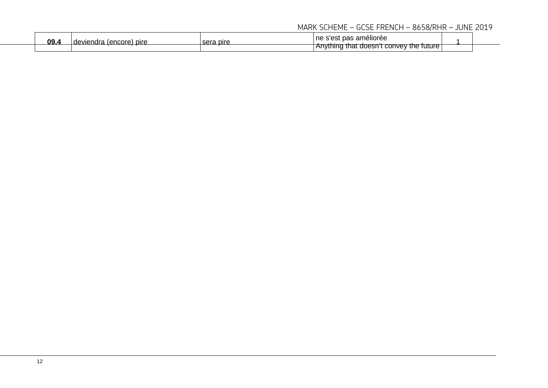| 09.4 | :) pire<br>(encore)<br>deviendra | sera pire | pas améliorée<br>s est<br>ne.                           |  |
|------|----------------------------------|-----------|---------------------------------------------------------|--|
|      |                                  |           | /thinc<br>future<br>convey<br>. doesn<br>Anvi<br>the fl |  |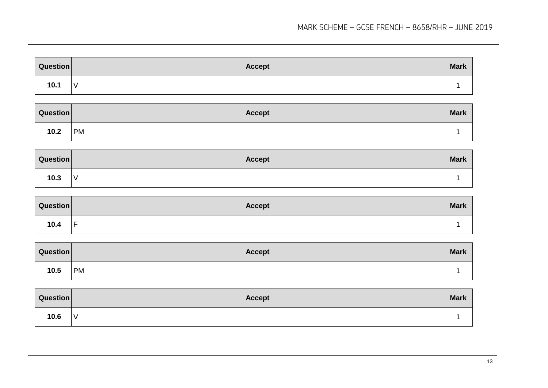| Question | Accept | <b>Mark</b> |
|----------|--------|-------------|
| 10.1     | ำ \.   |             |

| Question | <b>Accept</b> | <b>Mark</b> |
|----------|---------------|-------------|
| 10.2     | PM            |             |

| Question | <b>Accept</b> | <b>Mark</b> |
|----------|---------------|-------------|
| 10.3     | $\mathsf{V}$  |             |

| Question | Accept | <b>Mark</b> |
|----------|--------|-------------|
| 10.4     | -<br>- |             |

| Question | <b>Accept</b> | <b>Mark</b> |
|----------|---------------|-------------|
| 10.5     | PM            |             |

| Question | <b>Accept</b> | <b>Mark</b> |
|----------|---------------|-------------|
| 10.6     | $\mathsf{L}$  |             |